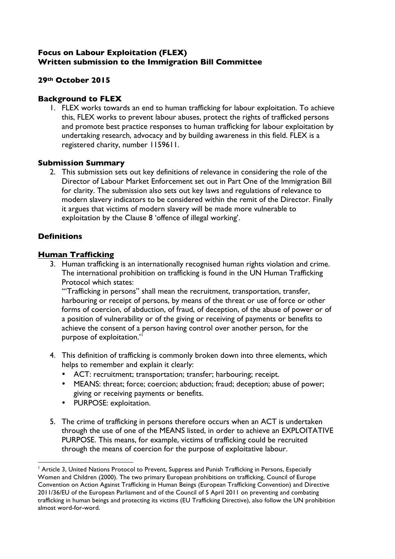#### **Focus on Labour Exploitation (FLEX) Written submission to the Immigration Bill Committee**

## **29th October 2015**

## **Background to FLEX**

1. FLEX works towards an end to human trafficking for labour exploitation. To achieve this, FLEX works to prevent labour abuses, protect the rights of trafficked persons and promote best practice responses to human trafficking for labour exploitation by undertaking research, advocacy and by building awareness in this field. FLEX is a registered charity, number 1159611.

# **Submission Summary**

2. This submission sets out key definitions of relevance in considering the role of the Director of Labour Market Enforcement set out in Part One of the Immigration Bill for clarity. The submission also sets out key laws and regulations of relevance to modern slavery indicators to be considered within the remit of the Director. Finally it argues that victims of modern slavery will be made more vulnerable to exploitation by the Clause 8 'offence of illegal working'.

# **Definitions**

# **Human Trafficking**

3. Human trafficking is an internationally recognised human rights violation and crime. The international prohibition on trafficking is found in the UN Human Trafficking Protocol which states:

'"Trafficking in persons" shall mean the recruitment, transportation, transfer, harbouring or receipt of persons, by means of the threat or use of force or other forms of coercion, of abduction, of fraud, of deception, of the abuse of power or of a position of vulnerability or of the giving or receiving of payments or benefits to achieve the consent of a person having control over another person, for the purpose of exploitation.'<sup>1</sup>

- 4. This definition of trafficking is commonly broken down into three elements, which helps to remember and explain it clearly:
	- ACT: recruitment; transportation; transfer; harbouring; receipt.
	- MEANS: threat; force; coercion; abduction; fraud; deception; abuse of power; giving or receiving payments or benefits.
	- PURPOSE: exploitation.

 

5. The crime of trafficking in persons therefore occurs when an ACT is undertaken through the use of one of the MEANS listed, in order to achieve an EXPLOITATIVE PURPOSE. This means, for example, victims of trafficking could be recruited through the means of coercion for the purpose of exploitative labour.

<sup>&</sup>lt;sup>1</sup> Article 3, United Nations Protocol to Prevent, Suppress and Punish Trafficking in Persons, Especially Women and Children (2000). The two primary European prohibitions on trafficking, Council of Europe Convention on Action Against Trafficking in Human Beings (European Trafficking Convention) and Directive 2011/36/EU of the European Parliament and of the Council of 5 April 2011 on preventing and combating trafficking in human beings and protecting its victims (EU Trafficking Directive), also follow the UN prohibition almost word-for-word.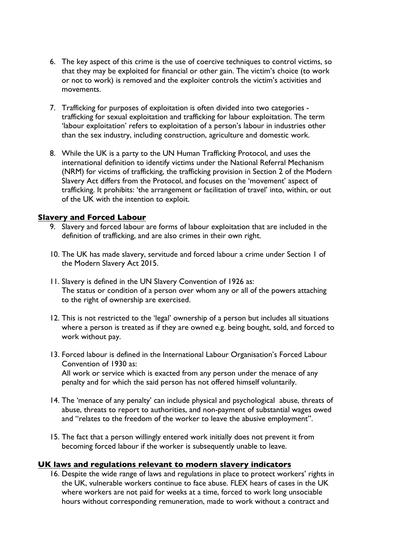- 6. The key aspect of this crime is the use of coercive techniques to control victims, so that they may be exploited for financial or other gain. The victim's choice (to work or not to work) is removed and the exploiter controls the victim's activities and movements.
- 7. Trafficking for purposes of exploitation is often divided into two categories trafficking for sexual exploitation and trafficking for labour exploitation. The term 'labour exploitation' refers to exploitation of a person's labour in industries other than the sex industry, including construction, agriculture and domestic work.
- 8. While the UK is a party to the UN Human Trafficking Protocol, and uses the international definition to identify victims under the National Referral Mechanism (NRM) for victims of trafficking, the trafficking provision in Section 2 of the Modern Slavery Act differs from the Protocol, and focuses on the 'movement' aspect of trafficking. It prohibits: 'the arrangement or facilitation of travel' into, within, or out of the UK with the intention to exploit.

#### **Slavery and Forced Labour**

- 9. Slavery and forced labour are forms of labour exploitation that are included in the definition of trafficking, and are also crimes in their own right.
- 10. The UK has made slavery, servitude and forced labour a crime under Section 1 of the Modern Slavery Act 2015.
- 11. Slavery is defined in the UN Slavery Convention of 1926 as: The status or condition of a person over whom any or all of the powers attaching to the right of ownership are exercised.
- 12. This is not restricted to the 'legal' ownership of a person but includes all situations where a person is treated as if they are owned e.g. being bought, sold, and forced to work without pay.
- 13. Forced labour is defined in the International Labour Organisation's Forced Labour Convention of 1930 as: All work or service which is exacted from any person under the menace of any penalty and for which the said person has not offered himself voluntarily.
- 14. The 'menace of any penalty' can include physical and psychological abuse, threats of abuse, threats to report to authorities, and non-payment of substantial wages owed and "relates to the freedom of the worker to leave the abusive employment".
- 15. The fact that a person willingly entered work initially does not prevent it from becoming forced labour if the worker is subsequently unable to leave.

#### **UK laws and regulations relevant to modern slavery indicators**

16. Despite the wide range of laws and regulations in place to protect workers' rights in the UK, vulnerable workers continue to face abuse. FLEX hears of cases in the UK where workers are not paid for weeks at a time, forced to work long unsociable hours without corresponding remuneration, made to work without a contract and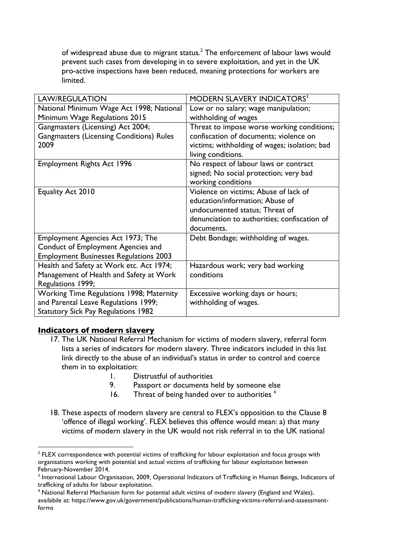of widespread abuse due to migrant status. $2$  The enforcement of labour laws would prevent such cases from developing in to severe exploitation, and yet in the UK pro-active inspections have been reduced, meaning protections for workers are limited.

| <b>LAW/REGULATION</b>                                                                                                                 | <b>MODERN SLAVERY INDICATORS3</b>                                                                                                                                        |
|---------------------------------------------------------------------------------------------------------------------------------------|--------------------------------------------------------------------------------------------------------------------------------------------------------------------------|
| National Minimum Wage Act 1998; National<br>Minimum Wage Regulations 2015                                                             | Low or no salary; wage manipulation;<br>withholding of wages                                                                                                             |
| Gangmasters (Licensing) Act 2004;<br><b>Gangmasters (Licensing Conditions) Rules</b><br>2009                                          | Threat to impose worse working conditions;<br>confiscation of documents; violence on<br>victims; withholding of wages; isolation; bad<br>living conditions.              |
| <b>Employment Rights Act 1996</b>                                                                                                     | No respect of labour laws or contract<br>signed; No social protection; very bad<br>working conditions                                                                    |
| Equality Act 2010                                                                                                                     | Violence on victims; Abuse of lack of<br>education/information; Abuse of<br>undocumented status; Threat of<br>denunciation to authorities; confiscation of<br>documents. |
| Employment Agencies Act 1973; The<br>Conduct of Employment Agencies and<br><b>Employment Businesses Regulations 2003</b>              | Debt Bondage; withholding of wages.                                                                                                                                      |
| Health and Safety at Work etc. Act 1974;<br>Management of Health and Safety at Work<br>Regulations 1999;                              | Hazardous work; very bad working<br>conditions                                                                                                                           |
| <b>Working Time Regulations 1998; Maternity</b><br>and Parental Leave Regulations 1999;<br><b>Statutory Sick Pay Regulations 1982</b> | Excessive working days or hours;<br>withholding of wages.                                                                                                                |

#### **Indicators of modern slavery**

 

- 17. The UK National Referral Mechanism for victims of modern slavery, referral form lists a series of indicators for modern slavery. Three indicators included in this list link directly to the abuse of an individual's status in order to control and coerce them in to exploitation:
	- 1. Distrustful of authorities
	- 9. Passport or documents held by someone else
	- 16. Threat of being handed over to authorities<sup>4</sup>
- 18. These aspects of modern slavery are central to FLEX's opposition to the Clause 8 'offence of illegal working'. FLEX believes this offence would mean: a) that many victims of modern slavery in the UK would not risk referral in to the UK national

 $<sup>2</sup>$  FLEX correspondence with potential victims of trafficking for labour exploitation and focus groups with</sup> organisations working with potential and actual victims of trafficking for labour exploitation between February-November 2014.<br><sup>3</sup> International Labour Organisation, 2009, Operational Indicators of Trafficking in Human Beings, Indicators of

trafficking of adults for labour exploitation.

<sup>&</sup>lt;sup>4</sup> National Referral Mechanism form for potential adult victims of modern slavery (England and Wales), availabile at: https://www.gov.uk/government/publications/human-trafficking-victims-referral-and-assessmentforms